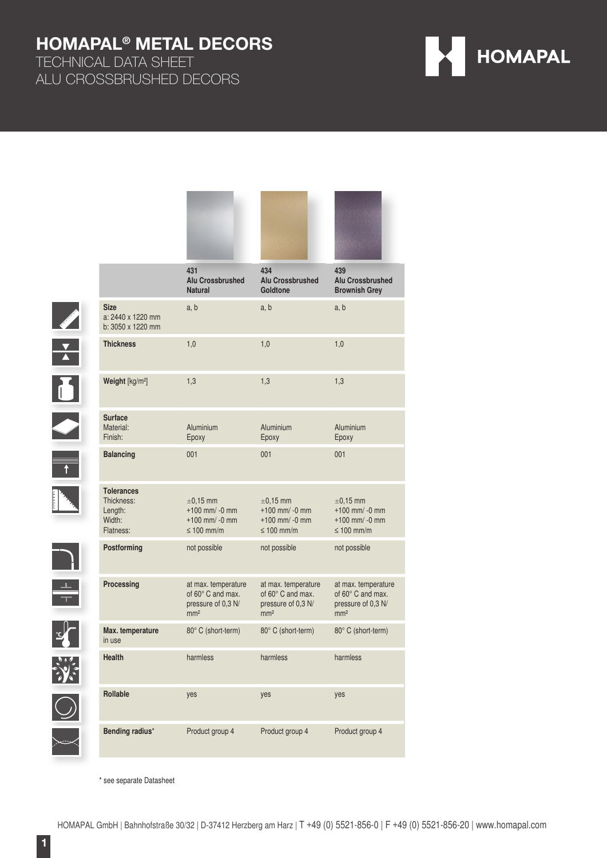TECHNICAL DATA SHEET ALU CROSSBRUSHED DECORS

| <b>HOMAPAL</b> |  |
|----------------|--|
|----------------|--|

|                         |                                                                   | 431<br><b>Alu Crossbrushed</b><br><b>Natural</b>                                         | 434<br><b>Alu Crossbrushed</b><br>Goldtone                                               | 439<br><b>Alu Crossbrushed</b><br><b>Brownish Grey</b>                            |
|-------------------------|-------------------------------------------------------------------|------------------------------------------------------------------------------------------|------------------------------------------------------------------------------------------|-----------------------------------------------------------------------------------|
|                         | <b>Size</b><br>a: 2440 x 1220 mm<br>b: 3050 x 1220 mm             | a, b                                                                                     | a, b                                                                                     | a, b                                                                              |
|                         | <b>Thickness</b>                                                  | 1,0                                                                                      | 1,0                                                                                      | 1,0                                                                               |
| $\overline{\mathbf{b}}$ | Weight [kg/m <sup>2</sup> ]                                       | 1,3                                                                                      | 1,3                                                                                      | 1,3                                                                               |
| I                       | <b>Surface</b><br>Material:<br>Finish:                            | Aluminium<br>Epoxy                                                                       | Aluminium<br>Epoxy                                                                       | Aluminium<br>Epoxy                                                                |
| $\overline{1}$          | <b>Balancing</b>                                                  | 001                                                                                      | 001                                                                                      | 001                                                                               |
|                         | <b>Tolerances</b><br>Thickness:<br>Length:<br>Width:<br>Flatness: | $\pm$ 0.15 mm<br>$+100$ mm/ -0 mm<br>$+100$ mm/ -0 mm<br>$\leq 100$ mm/m                 | $\pm 0.15$ mm<br>$+100$ mm/ -0 mm<br>$+100$ mm/ -0 mm<br>$\leq 100$ mm/m                 | $\pm 0.15$ mm<br>$+100$ mm/ -0 mm<br>$+100$ mm/ -0 mm<br>$\leq 100$ mm/m          |
|                         | Postforming                                                       | not possible                                                                             | not possible                                                                             | not possible                                                                      |
|                         | Processing                                                        | at max. temperature<br>of $60^\circ$ C and max.<br>pressure of 0,3 N/<br>mm <sup>2</sup> | at max. temperature<br>of $60^\circ$ C and max.<br>pressure of 0,3 N/<br>mm <sup>2</sup> | at max. temperature<br>of 60° C and max.<br>pressure of 0,3 N/<br>mm <sup>2</sup> |
|                         | Max. temperature<br>in use                                        | 80° C (short-term)                                                                       | 80° C (short-term)                                                                       | 80° C (short-term)                                                                |
|                         | <b>Health</b>                                                     | harmless                                                                                 | harmless                                                                                 | harmless                                                                          |
|                         | Rollable                                                          | yes                                                                                      | yes                                                                                      | yes                                                                               |
|                         | Bending radius*                                                   | Product group 4                                                                          | Product group 4                                                                          | Product group 4                                                                   |

\* see separate Datasheet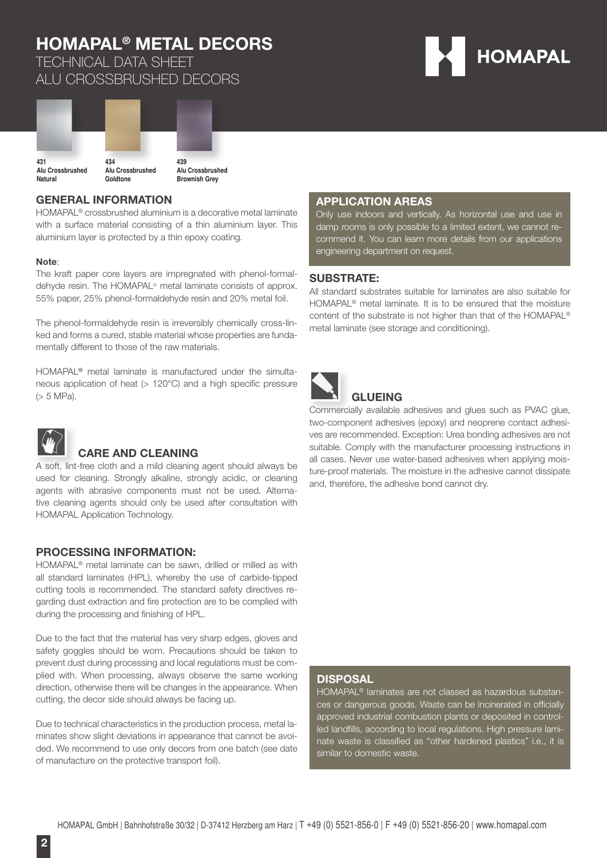TECHNICAL DATA SHEET ALU CROSSBRUSHED DECORS





**Brownish Grey**

#### **GENERAL INFORMATION**

HOMAPAL® crossbrushed aluminium is a decorative metal laminate with a surface material consisting of a thin aluminium layer. This aluminium layer is protected by a thin epoxy coating.

#### **Note**:

The kraft paper core layers are impregnated with phenol-formaldehyde resin. The HOMAPAL® metal laminate consists of approx. 55% paper, 25% phenol-formaldehyde resin and 20% metal foil.

The phenol-formaldehyde resin is irreversibly chemically cross-linked and forms a cured, stable material whose properties are fundamentally different to those of the raw materials.

HOMAPAL® metal laminate is manufactured under the simultaneous application of heat ( $> 120^{\circ}$ C) and a high specific pressure (> 5 MPa).



### **CARE AND CLEANING**

A soft, lint-free cloth and a mild cleaning agent should always be used for cleaning. Strongly alkaline, strongly acidic, or cleaning agents with abrasive components must not be used. Alternative cleaning agents should only be used after consultation with HOMAPAL Application Technology.

#### **PROCESSING INFORMATION:**

HOMAPAL® metal laminate can be sawn, drilled or milled as with all standard laminates (HPL), whereby the use of carbide-tipped cutting tools is recommended. The standard safety directives regarding dust extraction and fire protection are to be complied with during the processing and finishing of HPL.

Due to the fact that the material has very sharp edges, gloves and safety goggles should be worn. Precautions should be taken to prevent dust during processing and local regulations must be complied with. When processing, always observe the same working direction, otherwise there will be changes in the appearance. When cutting, the decor side should always be facing up.

Due to technical characteristics in the production process, metal laminates show slight deviations in appearance that cannot be avoided. We recommend to use only decors from one batch (see date of manufacture on the protective transport foil).

#### **APPLICATION AREAS**

Only use indoors and vertically. As horizontal use and use in damp rooms is only possible to a limited extent, we cannot recommend it. You can learn more details from our applications engineering department on request.

#### **SUBSTRATE:**

All standard substrates suitable for laminates are also suitable for HOMAPAL® metal laminate. It is to be ensured that the moisture content of the substrate is not higher than that of the HOMAPAL® metal laminate (see storage and conditioning).



### **GLUEING**

Commercially available adhesives and glues such as PVAC glue, two-component adhesives (epoxy) and neoprene contact adhesives are recommended. Exception: Urea bonding adhesives are not suitable. Comply with the manufacturer processing instructions in all cases. Never use water-based adhesives when applying moisture-proof materials. The moisture in the adhesive cannot dissipate and, therefore, the adhesive bond cannot dry.

#### **DISPOSAL**

HOMAPAL® laminates are not classed as hazardous substances or dangerous goods. Waste can be incinerated in officially approved industrial combustion plants or deposited in controlled landfills, according to local regulations. High pressure laminate waste is classified as "other hardened plastics" i.e., it is similar to domestic waste.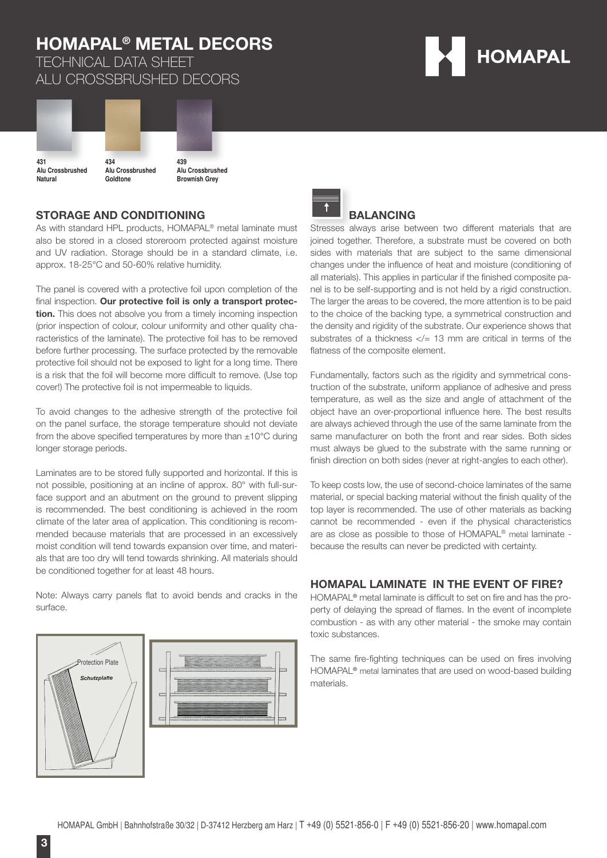TECHNICAL DATA SHEET ALU CROSSBRUSHED DECORS





Alu Crossbrushed **Natural**

**Brownish Grey**

#### **STORAGE AND CONDITIONING**

**Goldtone**

As with standard HPL products, HOMAPAL® metal laminate must also be stored in a closed storeroom protected against moisture and UV radiation. Storage should be in a standard climate, i.e. approx. 18-25°C and 50-60% relative humidity.

The panel is covered with a protective foil upon completion of the final inspection. Our protective foil is only a transport protec**tion.** This does not absolve you from a timely incoming inspection (prior inspection of colour, colour uniformity and other quality characteristics of the laminate). The protective foil has to be removed before further processing. The surface protected by the removable protective foil should not be exposed to light for a long time. There is a risk that the foil will become more difficult to remove. (Use top cover!) The protective foil is not impermeable to liquids.

To avoid changes to the adhesive strength of the protective foil on the panel surface, the storage temperature should not deviate from the above specified temperatures by more than  $\pm 10^{\circ}$ C during longer storage periods.

Laminates are to be stored fully supported and horizontal. If this is not possible, positioning at an incline of approx. 80° with full-surface support and an abutment on the ground to prevent slipping is recommended. The best conditioning is achieved in the room climate of the later area of application. This conditioning is recommended because materials that are processed in an excessively moist condition will tend towards expansion over time, and materials that are too dry will tend towards shrinking. All materials should be conditioned together for at least 48 hours.

Note: Always carry panels flat to avoid bends and cracks in the surface.







#### **BALANCING**

Stresses always arise between two different materials that are joined together. Therefore, a substrate must be covered on both sides with materials that are subject to the same dimensional changes under the influence of heat and moisture (conditioning of all materials). This applies in particular if the finished composite panel is to be self-supporting and is not held by a rigid construction. The larger the areas to be covered, the more attention is to be paid to the choice of the backing type, a symmetrical construction and the density and rigidity of the substrate. Our experience shows that substrates of a thickness  $\lt/= 13$  mm are critical in terms of the flatness of the composite element.

Fundamentally, factors such as the rigidity and symmetrical construction of the substrate, uniform appliance of adhesive and press temperature, as well as the size and angle of attachment of the object have an over-proportional influence here. The best results are always achieved through the use of the same laminate from the same manufacturer on both the front and rear sides. Both sides must always be glued to the substrate with the same running or finish direction on both sides (never at right-angles to each other).

To keep costs low, the use of second-choice laminates of the same material, or special backing material without the finish quality of the top layer is recommended. The use of other materials as backing cannot be recommended - even if the physical characteristics are as close as possible to those of HOMAPAL® metal laminate because the results can never be predicted with certainty.

#### **HOMAPAL LAMINATE IN THE EVENT OF FIRE?**

HOMAPAL<sup>®</sup> metal laminate is difficult to set on fire and has the property of delaying the spread of flames. In the event of incomplete combustion - as with any other material - the smoke may contain toxic substances.

The same fire-fighting techniques can be used on fires involving HOMAPAL® metal laminates that are used on wood-based building materials.